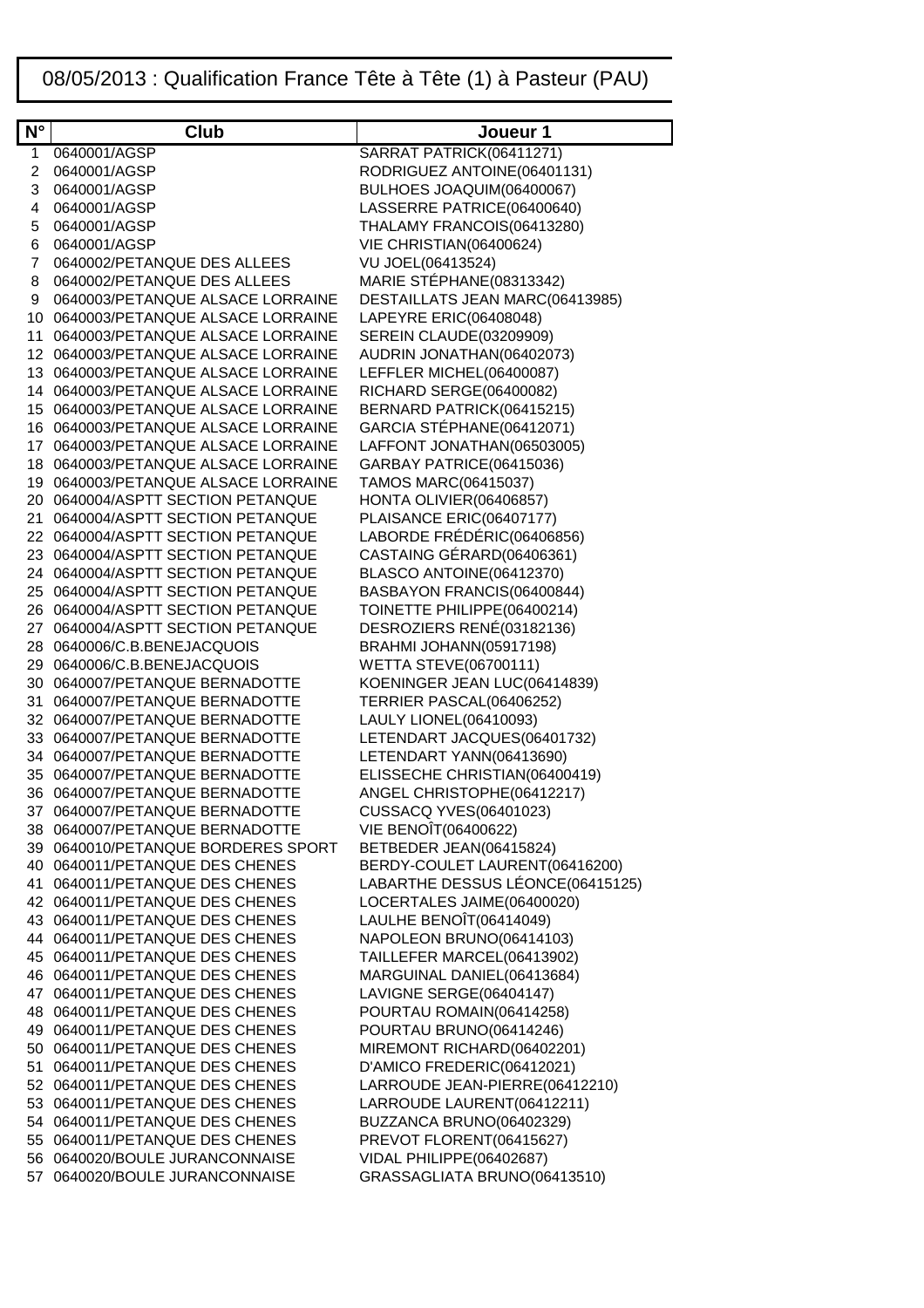## 08/05/2013 : Qualification France Tête à Tête (1) à Pasteur (PAU)

| $N^{\circ}$ | <b>Club</b>                                                      | Joueur 1                                                  |
|-------------|------------------------------------------------------------------|-----------------------------------------------------------|
| 1           | 0640001/AGSP                                                     | SARRAT PATRICK(06411271)                                  |
| 2           | 0640001/AGSP                                                     | RODRIGUEZ ANTOINE(06401131)                               |
| 3           | 0640001/AGSP                                                     | BULHOES JOAQUIM(06400067)                                 |
| 4           | 0640001/AGSP                                                     | LASSERRE PATRICE(06400640)                                |
| 5           | 0640001/AGSP                                                     | THALAMY FRANCOIS(06413280)                                |
| 6           | 0640001/AGSP                                                     | VIE CHRISTIAN(06400624)                                   |
| 7           | 0640002/PETANQUE DES ALLEES                                      | VU JOEL(06413524)                                         |
| 8           | 0640002/PETANQUE DES ALLEES                                      | MARIE STÉPHANE(08313342)                                  |
| 9           | 0640003/PETANQUE ALSACE LORRAINE                                 | DESTAILLATS JEAN MARC(06413985)                           |
| 10          | 0640003/PETANQUE ALSACE LORRAINE                                 | LAPEYRE ERIC(06408048)                                    |
| 11          | 0640003/PETANQUE ALSACE LORRAINE                                 | <b>SEREIN CLAUDE(03209909)</b>                            |
|             | 12 0640003/PETANQUE ALSACE LORRAINE                              | AUDRIN JONATHAN(06402073)                                 |
|             | 13 0640003/PETANQUE ALSACE LORRAINE                              | LEFFLER MICHEL(06400087)                                  |
|             | 14 0640003/PETANQUE ALSACE LORRAINE                              | RICHARD SERGE(06400082)                                   |
|             | 15 0640003/PETANQUE ALSACE LORRAINE                              | BERNARD PATRICK(06415215)                                 |
|             | 16 0640003/PETANQUE ALSACE LORRAINE                              | GARCIA STÉPHANE(06412071)                                 |
|             | 17 0640003/PETANQUE ALSACE LORRAINE                              | LAFFONT JONATHAN(06503005)                                |
|             | 18 0640003/PETANQUE ALSACE LORRAINE                              | GARBAY PATRICE(06415036)                                  |
|             | 19 0640003/PETANQUE ALSACE LORRAINE                              | TAMOS MARC(06415037)                                      |
|             | 20 0640004/ASPTT SECTION PETANQUE                                | HONTA OLIVIER(06406857)                                   |
|             | 21 0640004/ASPTT SECTION PETANQUE                                | PLAISANCE ERIC(06407177)                                  |
|             | 22 0640004/ASPTT SECTION PETANQUE                                | LABORDE FRÉDÉRIC(06406856)                                |
|             | 23 0640004/ASPTT SECTION PETANQUE                                | CASTAING GÉRARD(06406361)                                 |
|             | 24 0640004/ASPTT SECTION PETANQUE                                | BLASCO ANTOINE(06412370)                                  |
|             | 25 0640004/ASPTT SECTION PETANQUE                                | BASBAYON FRANCIS(06400844)                                |
|             | 26 0640004/ASPTT SECTION PETANQUE                                | TOINETTE PHILIPPE(06400214)                               |
|             | 27 0640004/ASPTT SECTION PETANQUE                                | DESROZIERS RENÉ(03182136)                                 |
|             | 28 0640006/C.B.BENEJACQUOIS                                      | <b>BRAHMI JOHANN(05917198)</b>                            |
|             | 29 0640006/C.B.BENEJACQUOIS                                      | <b>WETTA STEVE(06700111)</b>                              |
|             | 30 0640007/PETANQUE BERNADOTTE                                   | KOENINGER JEAN LUC(06414839)                              |
|             | 31 0640007/PETANQUE BERNADOTTE                                   | TERRIER PASCAL(06406252)                                  |
|             | 32 0640007/PETANQUE BERNADOTTE                                   | LAULY LIONEL(06410093)                                    |
|             | 33 0640007/PETANQUE BERNADOTTE                                   | LETENDART JACQUES(06401732)                               |
|             | 34 0640007/PETANQUE BERNADOTTE                                   | LETENDART YANN(06413690)<br>ELISSECHE CHRISTIAN(06400419) |
|             | 35 0640007/PETANQUE BERNADOTTE<br>36 0640007/PETANQUE BERNADOTTE | ANGEL CHRISTOPHE(06412217)                                |
|             | 37 0640007/PETANQUE BERNADOTTE                                   | <b>CUSSACQ YVES(06401023)</b>                             |
|             | 38 0640007/PETANQUE BERNADOTTE                                   | VIE BENOÎT(06400622)                                      |
|             | 39 0640010/PETANQUE BORDERES SPORT                               | BETBEDER JEAN(06415824)                                   |
|             | 40 0640011/PETANQUE DES CHENES                                   | BERDY-COULET LAURENT(06416200)                            |
|             | 41 0640011/PETANQUE DES CHENES                                   | LABARTHE DESSUS LÉONCE(06415125)                          |
|             | 42 0640011/PETANQUE DES CHENES                                   | LOCERTALES JAIME(06400020)                                |
|             | 43 0640011/PETANQUE DES CHENES                                   | LAULHE BENOÎT(06414049)                                   |
|             | 44 0640011/PETANQUE DES CHENES                                   | NAPOLEON BRUNO(06414103)                                  |
|             | 45 0640011/PETANQUE DES CHENES                                   | TAILLEFER MARCEL(06413902)                                |
|             | 46 0640011/PETANQUE DES CHENES                                   | MARGUINAL DANIEL(06413684)                                |
|             | 47 0640011/PETANQUE DES CHENES                                   | LAVIGNE SERGE(06404147)                                   |
|             | 48 0640011/PETANQUE DES CHENES                                   | POURTAU ROMAIN(06414258)                                  |
|             | 49 0640011/PETANQUE DES CHENES                                   | POURTAU BRUNO(06414246)                                   |
|             | 50 0640011/PETANQUE DES CHENES                                   | MIREMONT RICHARD(06402201)                                |
|             | 51 0640011/PETANQUE DES CHENES                                   | D'AMICO FREDERIC(06412021)                                |
|             | 52 0640011/PETANQUE DES CHENES                                   | LARROUDE JEAN-PIERRE(06412210)                            |
|             | 53 0640011/PETANQUE DES CHENES                                   | LARROUDE LAURENT(06412211)                                |
|             | 54 0640011/PETANQUE DES CHENES                                   | BUZZANCA BRUNO(06402329)                                  |
|             | 55 0640011/PETANQUE DES CHENES                                   | PREVOT FLORENT(06415627)                                  |
|             | 56 0640020/BOULE JURANCONNAISE                                   | VIDAL PHILIPPE(06402687)                                  |
|             | 57 0640020/BOULE JURANCONNAISE                                   | GRASSAGLIATA BRUNO(06413510)                              |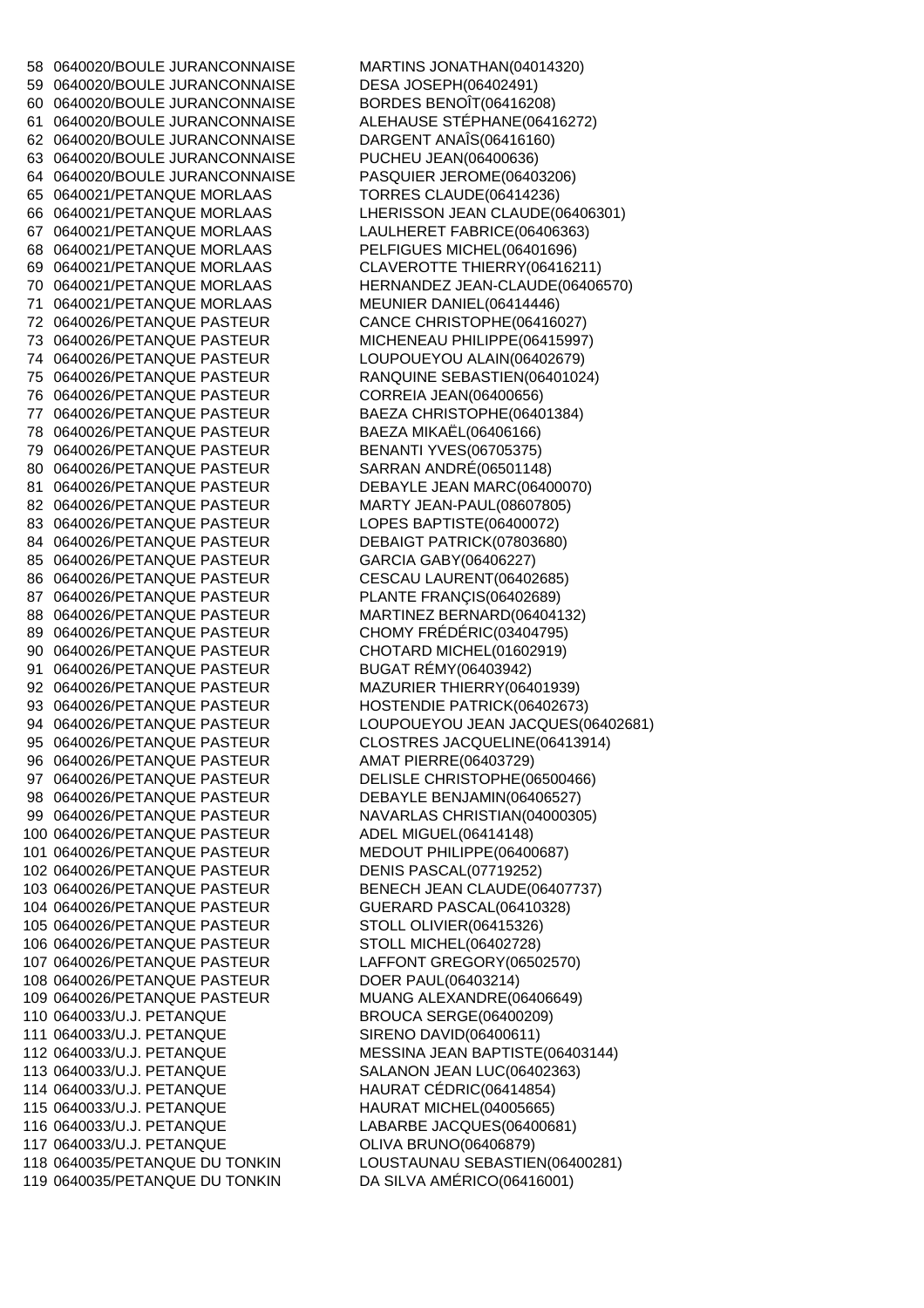58 0640020/BOULE JURANCONNAISE MARTINS JONATHAN(04014320) 59 0640020/BOULE JURANCONNAISE DESA JOSEPH(06402491) 60 0640020/BOULE JURANCONNAISE BORDES BENOÎT(06416208) 61 0640020/BOULE JURANCONNAISE ALEHAUSE STÉPHANE(06416272) 62 0640020/BOULE JURANCONNAISE DARGENT ANAÎS(06416160) 63 0640020/BOULE JURANCONNAISE PUCHEU JEAN(06400636) 64 0640020/BOULE JURANCONNAISE PASQUIER JEROME(06403206) 65 0640021/PETANQUE MORLAAS TORRES CLAUDE(06414236) 66 0640021/PETANQUE MORLAAS LHERISSON JEAN CLAUDE(06406301) 67 0640021/PETANQUE MORLAAS LAULHERET FABRICE(06406363) 68 0640021/PETANQUE MORLAAS PELFIGUES MICHEL(06401696) 69 0640021/PETANQUE MORLAAS CLAVEROTTE THIERRY(06416211) 70 0640021/PETANQUE MORLAAS HERNANDEZ JEAN-CLAUDE(06406570) 71 0640021/PETANQUE MORLAAS MEUNIER DANIEL(06414446) 72 0640026/PETANQUE PASTEUR CANCE CHRISTOPHE(06416027) 73 0640026/PETANQUE PASTEUR MICHENEAU PHILIPPE(06415997) 74 0640026/PETANQUE PASTEUR LOUPOUEYOU ALAIN(06402679) 75 0640026/PETANQUE PASTEUR RANQUINE SEBASTIEN(06401024) 76 0640026/PETANQUE PASTEUR CORREIA JEAN(06400656) 77 0640026/PETANQUE PASTEUR BAEZA CHRISTOPHE(06401384) 78 0640026/PETANQUE PASTEUR BAEZA MIKAËL(06406166) 79 0640026/PETANQUE PASTEUR BENANTI YVES(06705375) 80 0640026/PETANQUE PASTEUR SARRAN ANDRÉ(06501148) 81 0640026/PETANQUE PASTEUR DEBAYLE JEAN MARC(06400070) 82 0640026/PETANQUE PASTEUR MARTY JEAN-PAUL(08607805) 83 0640026/PETANQUE PASTEUR LOPES BAPTISTE(06400072) 84 0640026/PETANQUE PASTEUR DEBAIGT PATRICK(07803680) 85 0640026/PETANQUE PASTEUR GARCIA GABY(06406227) 86 0640026/PETANQUE PASTEUR CESCAU LAURENT(06402685) 87 0640026/PETANQUE PASTEUR PLANTE FRANÇIS(06402689) 88 0640026/PETANQUE PASTEUR MARTINEZ BERNARD(06404132) 89 0640026/PETANQUE PASTEUR CHOMY FRÉDÉRIC(03404795) 90 0640026/PETANQUE PASTEUR CHOTARD MICHEL(01602919) 91 0640026/PETANQUE PASTEUR BUGAT RÉMY(06403942) 92 0640026/PETANQUE PASTEUR MAZURIER THIERRY(06401939) 93 0640026/PETANQUE PASTEUR HOSTENDIE PATRICK(06402673) 95 0640026/PETANQUE PASTEUR CLOSTRES JACQUELINE(06413914) 96 0640026/PETANQUE PASTEUR AMAT PIERRE(06403729) 97 0640026/PETANQUE PASTEUR DELISLE CHRISTOPHE(06500466) 98 0640026/PETANQUE PASTEUR DEBAYLE BENJAMIN(06406527) 99 0640026/PETANQUE PASTEUR NAVARLAS CHRISTIAN(04000305) 100 0640026/PETANQUE PASTEUR ADEL MIGUEL(06414148) 101 0640026/PETANQUE PASTEUR MEDOUT PHILIPPE(06400687) 102 0640026/PETANQUE PASTEUR DENIS PASCAL(07719252) 103 0640026/PETANQUE PASTEUR BENECH JEAN CLAUDE(06407737) 104 0640026/PETANQUE PASTEUR GUERARD PASCAL(06410328) 105 0640026/PETANQUE PASTEUR STOLL OLIVIER(06415326) 106 0640026/PETANQUE PASTEUR STOLL MICHEL(06402728) 107 0640026/PETANQUE PASTEUR LAFFONT GREGORY(06502570) 108 0640026/PETANQUE PASTEUR DOER PAUL(06403214) 109 0640026/PETANQUE PASTEUR MUANG ALEXANDRE(06406649) 110 0640033/U.J. PETANQUE BROUCA SERGE(06400209) 111 0640033/U.J. PETANQUE SIRENO DAVID(06400611) 112 0640033/U.J. PETANQUE MESSINA JEAN BAPTISTE(06403144) 113 0640033/U.J. PETANQUE SALANON JEAN LUC(06402363) 114 0640033/U.J. PETANQUE HAURAT CÉDRIC(06414854) 115 0640033/U.J. PETANQUE HAURAT MICHEL(04005665) 116 0640033/U.J. PETANQUE LABARBE JACQUES(06400681) 117 0640033/U.J. PETANQUE OLIVA BRUNO(06406879) 118 0640035/PETANQUE DU TONKIN LOUSTAUNAU SEBASTIEN(06400281) 119 0640035/PETANQUE DU TONKIN DA SILVA AMÉRICO(06416001)

94 0640026/PETANQUE PASTEUR LOUPOUEYOU JEAN JACQUES(06402681)